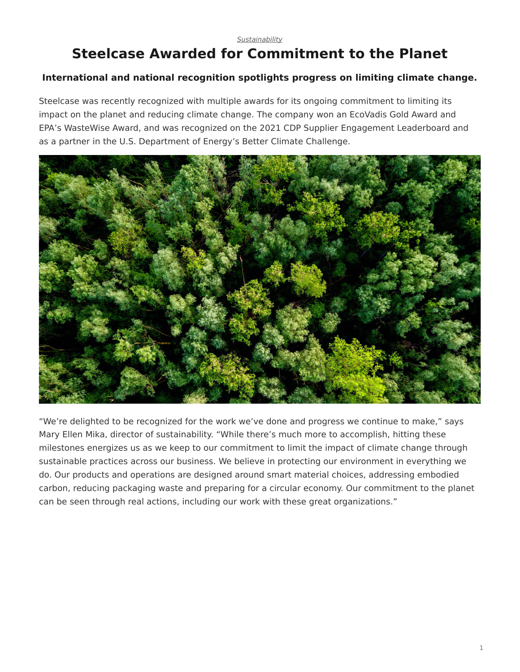#### *[Sustainability](https://www.steelcase.com/research/topics/sustainability/)*

# <span id="page-0-0"></span>**Steelcase Awarded for Commitment to the Planet**

#### **International and national recognition spotlights progress on limiting climate change.**

Steelcase was recently recognized with multiple awards for its ongoing commitment to limiting its impact on the planet and reducing climate change. The company won an EcoVadis Gold Award and EPA's WasteWise Award, and was recognized on the 2021 CDP Supplier Engagement Leaderboard and as a partner in the U.S. Department of Energy's Better Climate Challenge.



"We're delighted to be recognized for the work we've done and progress we continue to make," says Mary Ellen Mika, director of sustainability. "While there's much more to accomplish, hitting these milestones energizes us as we keep to our commitment to limit the impact of climate change through sustainable practices across our business. We believe in protecting our environment in everything we do. Our products and operations are designed around smart material choices, addressing embodied carbon, reducing packaging waste and preparing for a circular economy. Our commitment to the planet can be seen through real actions, including our work with these great organizations."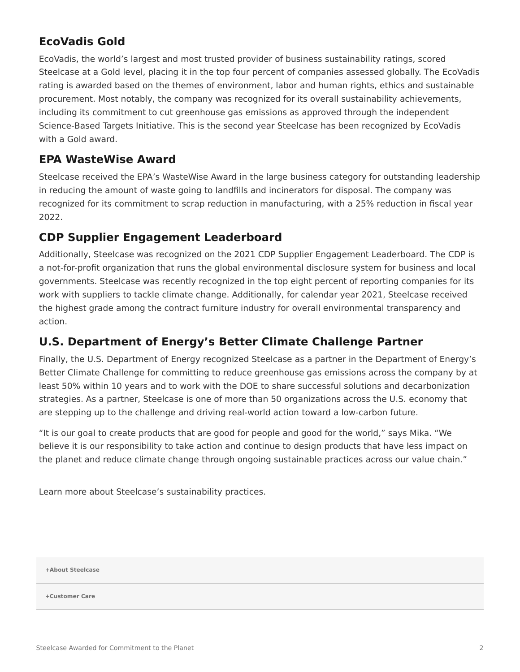## **EcoVadis Gold**

EcoVadis, the world's largest and most trusted provider of business sustainability ratings, scored Steelcase at a Gold level, placing it in the top four percent of companies assessed globally. The EcoVadis rating is awarded based on the themes of environment, labor and human rights, ethics and sustainable procurement. Most notably, the company was recognized for its overall sustainability achievements, including its commitment to cut greenhouse gas emissions as approved through the independent Science-Based Targets Initiative. This is the second year Steelcase has been recognized by EcoVadis with a Gold award.

#### **EPA WasteWise Award**

Steelcase received the EPA's WasteWise Award in the large business category for outstanding leadership in reducing the amount of waste going to landfills and incinerators for disposal. The company was recognized for its commitment to scrap reduction in manufacturing, with a 25% reduction in fiscal year 2022.

#### **CDP Supplier Engagement Leaderboard**

Additionally, Steelcase was recognized on the 2021 CDP Supplier Engagement Leaderboard. The CDP is a not-for-profit organization that runs the global environmental disclosure system for business and local governments. Steelcase was recently recognized in the top eight percent of reporting companies for its work with suppliers to tackle climate change. Additionally, for calendar year 2021, Steelcase received the highest grade among the contract furniture industry for overall environmental transparency and action.

## **U.S. Department of Energy's Better Climate Challenge Partner**

Finally, the U.S. Department of Energy recognized Steelcase as a partner in the Department of Energy's Better Climate Challenge for committing to reduce greenhouse gas emissions across the company by at least 50% within 10 years and to work with the DOE to share successful solutions and decarbonization strategies. As a partner, Steelcase is one of more than 50 organizations across the U.S. economy that are stepping up to the challenge and driving real-world action toward a low-carbon future.

"It is our goal to create products that are good for people and good for the world," says Mika. "We believe it is our responsibility to take action and continue to design products that have less impact on the planet and reduce climate change through ongoing sustainable practices across our value chain."

Learn more about Steelcase's sustainability practices.

**[+About Steelcase](https://www.steelcase.com/discover/steelcase/our-company/)**

**[+Customer Care](#page-0-0)**